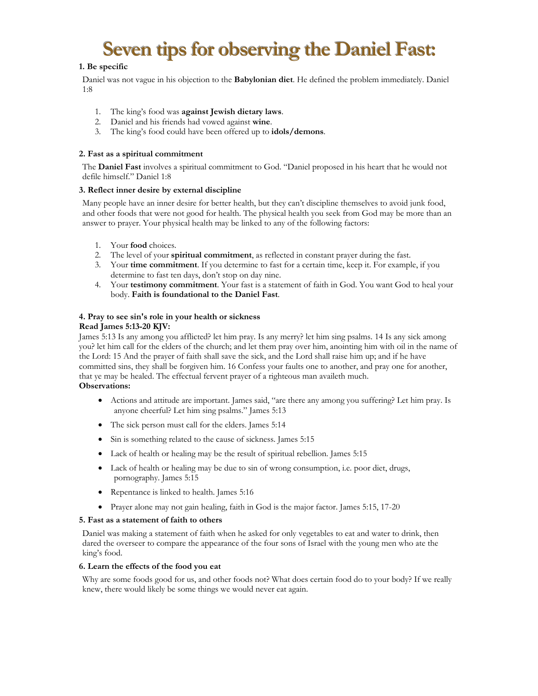# **Seven tips for observing the Daniel Fast:**

# **1. Be specific**

Daniel was not vague in his objection to the **Babylonian diet**. He defined the problem immediately. Daniel 1:8

- 1. The king's food was **against Jewish dietary laws**.
- 2. Daniel and his friends had vowed against **wine**.
- 3. The king's food could have been offered up to **idols/demons**.

## **2. Fast as a spiritual commitment**

The **Daniel Fast** involves a spiritual commitment to God. "Daniel proposed in his heart that he would not defile himself." Daniel 1:8

## **3. Reflect inner desire by external discipline**

Many people have an inner desire for better health, but they can't discipline themselves to avoid junk food, and other foods that were not good for health. The physical health you seek from God may be more than an answer to prayer. Your physical health may be linked to any of the following factors:

- 1. Your **food** choices.
- 2. The level of your **spiritual commitment**, as reflected in constant prayer during the fast.
- 3. Your **time commitment**. If you determine to fast for a certain time, keep it. For example, if you determine to fast ten days, don't stop on day nine.
- 4. Your **testimony commitment**. Your fast is a statement of faith in God. You want God to heal your body. **Faith is foundational to the Daniel Fast**.

#### **4. Pray to see sin's role in your health or sickness Read James 5:13-20 KJV:**

James 5:13 Is any among you afflicted? let him pray. Is any merry? let him sing psalms. 14 Is any sick among you? let him call for the elders of the church; and let them pray over him, anointing him with oil in the name of the Lord: 15 And the prayer of faith shall save the sick, and the Lord shall raise him up; and if he have committed sins, they shall be forgiven him. 16 Confess your faults one to another, and pray one for another, that ye may be healed. The effectual fervent prayer of a righteous man availeth much.

#### **Observations:**

- Actions and attitude are important. James said, "are there any among you suffering? Let him pray. Is anyone cheerful? Let him sing psalms." James 5:13
- The sick person must call for the elders. James 5:14
- Sin is something related to the cause of sickness. James 5:15
- Lack of health or healing may be the result of spiritual rebellion. James 5:15
- Lack of health or healing may be due to sin of wrong consumption, i.e. poor diet, drugs, pornography. James 5:15
- Repentance is linked to health. James 5:16
- Prayer alone may not gain healing, faith in God is the major factor. James 5:15, 17-20

#### **5. Fast as a statement of faith to others**

Daniel was making a statement of faith when he asked for only vegetables to eat and water to drink, then dared the overseer to compare the appearance of the four sons of Israel with the young men who ate the king's food.

#### **6. Learn the effects of the food you eat**

Why are some foods good for us, and other foods not? What does certain food do to your body? If we really knew, there would likely be some things we would never eat again.